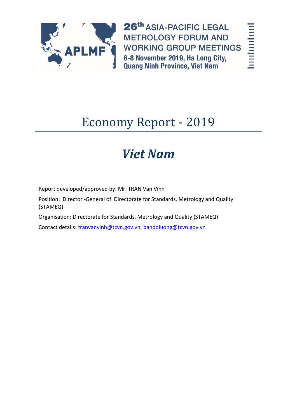

26th ASIA-PACIFIC LEGAL **METROLOGY FORUM AND WORKING GROUP MEETINGS** 6-8 November 2019, Ha Long City, **Quang Ninh Province, Viet Nam** 

# **Industrial Property**

# Economy Report - 2019

# *Viet Nam*

Report developed/approved by: Mr. TRAN Van Vinh

Position: Director -General of Directorate for Standards, Metrology and Quality (STAMEQ)

Organisation: Directorate for Standards, Metrology and Quality (STAMEQ)

Contact details: [tranvanvinh@tcvn.gov.vn,](mailto:tranvanvinh@tcvn.gov.vn) [bandoluong@tcvn.gov.vn](mailto:bandoluong@tcvn.gov.vn)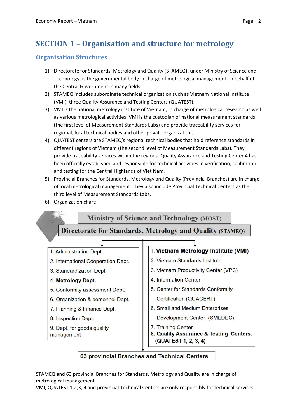# **SECTION 1 – Organisation and structure for metrology**

# **Organisation Structures**

- 1) Directorate for Standards, Metrology and Quality (STAMEQ), under Ministry of Science and Technology, is the governmental body in charge of metrological management on behalf of the Central Government in many fields.
- 2) STAMEQ includes subordinate technical organization such as Vietnam National Institute (VMI), three Quality Assurance and Testing Centers (QUATEST).
- 3) VMI is the national metrology institute of Vietnam, in charge of metrological research as well as various metrological activities. VMI is the custodian of national measurement standards (the first level of Measurement Standards Labs) and provide traceability services for regional, local technical bodies and other private organizations
- 4) QUATEST centers are STAMEQ's regional technical bodies that hold reference standards in different regions of Vietnam (the second level of Measurement Standards Labs). They provide traceability services within the regions. Quality Assurance and Testing Center 4 has been officially established and responsible for technical activities in verification, calibration and testing for the Central Highlands of Viet Nam.
- 5) Provincial Branches for Standards, Metrology and Quality (Provincial Branches) are in charge of local metrological management. They also include Provincial Technical Centers as the third level of Measurement Standards Labs.
- 6) Organization chart:



# 63 provincial Branches and Technical Centers

STAMEQ and 63 provincial Branches for Standards, Metrology and Quality are in charge of metrological management.

VMI, QUATEST 1,2,3, 4 and provincial Technical Centers are only responsibly for technical services.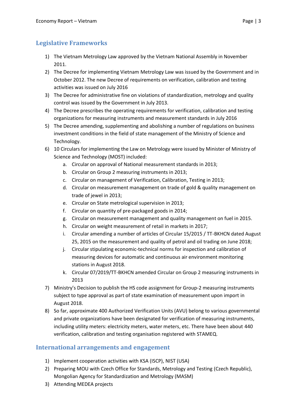# **Legislative Frameworks**

- 1) The Vietnam Metrology Law approved by the Vietnam National Assembly in November 2011.
- 2) The Decree for implementing Vietnam Metrology Law was issued by the Government and in October 2012. The new Decree of requirements on verification, calibration and testing activities was issued on July 2016
- 3) The Decree for administrative fine on violations of standardization, metrology and quality control was issued by the Government in July 2013.
- 4) The Decree prescribes the operating requirements for verification, calibration and testing organizations for measuring instruments and measurement standards in July 2016
- 5) The Decree amending, supplementing and abolishing a number of regulations on business investment conditions in the field of state management of the Ministry of Science and Technology.
- 6) 10 Circulars for implementing the Law on Metrology were issued by Minister of Ministry of Science and Technology (MOST) included:
	- a. Circular on approval of National measurement standards in 2013;
	- b. Circular on Group 2 measuring instruments in 2013;
	- c. Circular on management of Verification, Calibration, Testing in 2013;
	- d. Circular on measurement management on trade of gold & quality management on trade of jewel in 2013;
	- e. Circular on State metrological supervision in 2013;
	- f. Circular on quantity of pre-packaged goods in 2014;
	- g. Circular on measurement management and quality management on fuel in 2015.
	- h. Circular on weight measurement of retail in markets in 2017;
	- i. Circular amending a number of articles of Circular 15/2015 / TT-BKHCN dated August 25, 2015 on the measurement and quality of petrol and oil trading on June 2018;
	- j. Circular stipulating economic-technical norms for inspection and calibration of measuring devices for automatic and continuous air environment monitoring stations in August 2018.
	- k. Circular 07/2019/TT-BKHCN amended Circular on Group 2 measuring instruments in 2013
- 7) Ministry's Decision to publish the HS code assignment for Group-2 measuring instruments subject to type approval as part of state examination of measurement upon import in August 2018.
- 8) So far, approximate 400 Authorized Verification Units (AVU) belong to various governmental and private organizations have been designated for verification of measuring instruments, including utility meters: electricity meters, water meters, etc. There have been about 440 verification, calibration and testing organisation registered with STAMEQ.

## **International arrangements and engagement**

- 1) Implement cooperation activities with KSA (ISCP), NIST (USA)
- 2) Preparing MOU with Czech Office for Standards, Metrology and Testing (Czech Republic), Mongolian Agency for Standardization and Metrology (MASM)
- 3) Attending MEDEA projects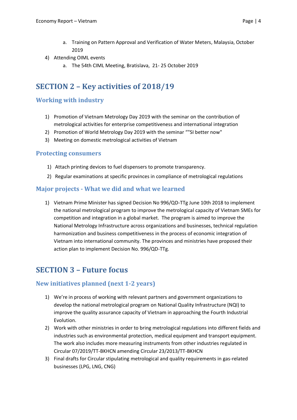- a. Training on Pattern Approval and Verification of Water Meters, Malaysia, October 2019
- 4) Attending OIML events
	- a. The 54th CIML Meeting, Bratislava, 21- 25 October 2019

# **SECTION 2 – Key activities of 2018/19**

### **Working with industry**

- 1) Promotion of Vietnam Metrology Day 2019 with the seminar on the contribution of metrological activities for enterprise competitiveness and international integration
- 2) Promotion of World Metrology Day 2019 with the seminar ""SI better now"
- 3) Meeting on domestic metrological activities of Vietnam

#### **Protecting consumers**

- 1) Attach printing devices to fuel dispensers to promote transparency.
- 2) Regular examinations at specific provinces in compliance of metrological regulations

#### **Major projects - What we did and what we learned**

1) Vietnam Prime Minister has signed Decision No 996/QD-TTg June 10th 2018 to implement the national metrological program to improve the metrological capacity of Vietnam SMEs for competition and integration in a global market. The program is aimed to improve the National Metrology Infrastructure across organizations and businesses, technical regulation harmonization and business competitiveness in the process of economic integration of Vietnam into international community. The provinces and ministries have proposed their action plan to implement Decision No. 996/QD-TTg.

# **SECTION 3 – Future focus**

#### **New initiatives planned (next 1-2 years)**

- 1) We're in process of working with relevant partners and government organizations to develop the national metrological program on National Quality Infrastructure (NQI) to improve the quality assurance capacity of Vietnam in approaching the Fourth Industrial Evolution.
- 2) Work with other ministries in order to bring metrological regulations into different fields and industries such as environmental protection, medical equipment and transport equipment. The work also includes more measuring instruments from other industries regulated in Circular 07/2019/TT-BKHCN amending Circular 23/2013/TT-BKHCN
- 3) Final drafts for Circular stipulating metrological and quality requirements in gas-related businesses (LPG, LNG, CNG)